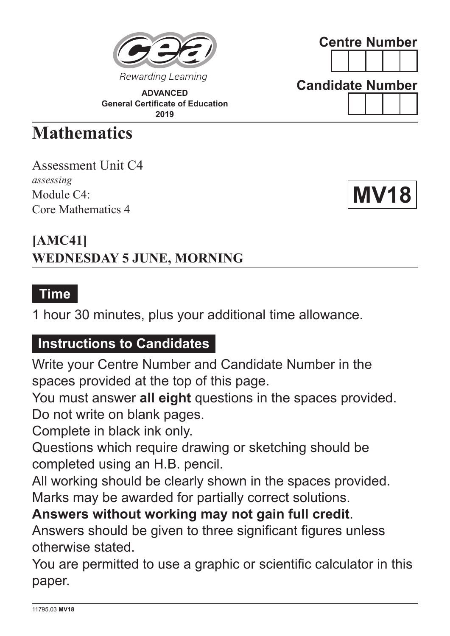**ADVANCED General Certificate of Education 2019**

# **Mathematics**

Assessment Unit C4 *assessing* Module C4: Core Mathematics 4

# **[AMC41] WEDNESDAY 5 JUNE, MORNING**

# **Time**

1 hour 30 minutes, plus your additional time allowance.

# **Instructions to Candidates**

Write your Centre Number and Candidate Number in the spaces provided at the top of this page.

You must answer **all eight** questions in the spaces provided. Do not write on blank pages.

Complete in black ink only.

Questions which require drawing or sketching should be completed using an H.B. pencil.

All working should be clearly shown in the spaces provided. Marks may be awarded for partially correct solutions.

# **Answers without working may not gain full credit**.

Answers should be given to three significant figures unless otherwise stated.

You are permitted to use a graphic or scientific calculator in this paper.









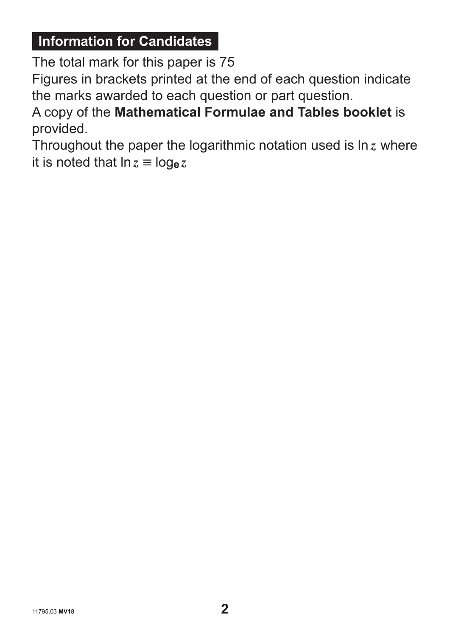# **Information for Candidates**

The total mark for this paper is 75

Figures in brackets printed at the end of each question indicate the marks awarded to each question or part question.

A copy of the **Mathematical Formulae and Tables booklet** is provided.

Throughout the paper the logarithmic notation used is ln *z* where it is noted that  $\ln z \equiv \log_e z$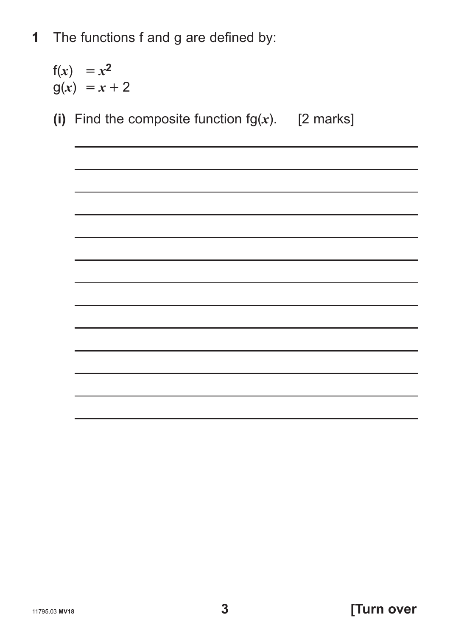**1** The functions f and g are defined by:

$$
f(x) = x2
$$
  
\n
$$
g(x) = x + 2
$$
  
\n(i) Find the composite function  $fg(x)$ . [2 marks]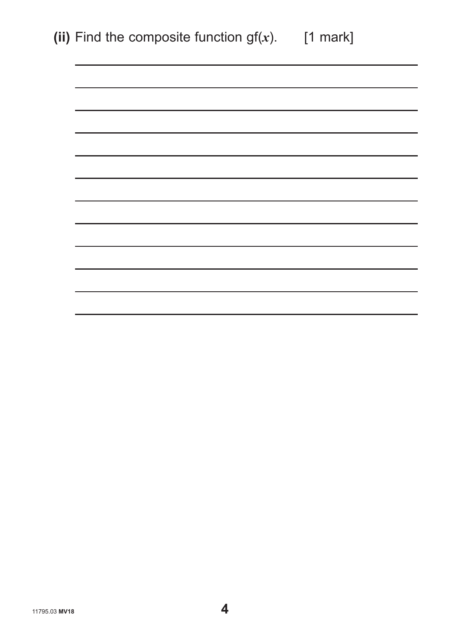| (ii) Find the composite function $gf(x)$ . [1 mark] |  |
|-----------------------------------------------------|--|
|                                                     |  |
|                                                     |  |
|                                                     |  |
|                                                     |  |
|                                                     |  |
|                                                     |  |
|                                                     |  |
|                                                     |  |
|                                                     |  |
|                                                     |  |
|                                                     |  |
|                                                     |  |
|                                                     |  |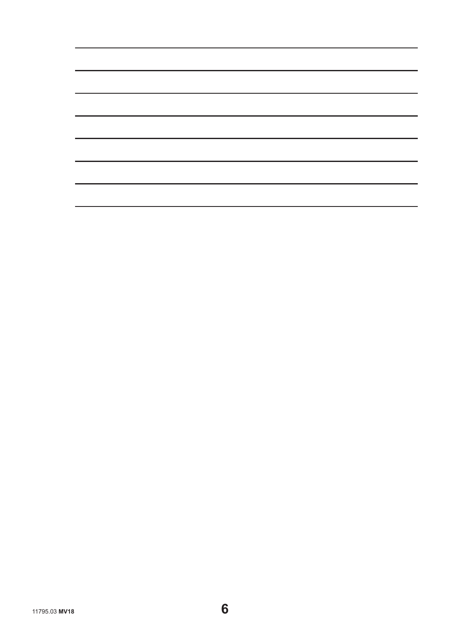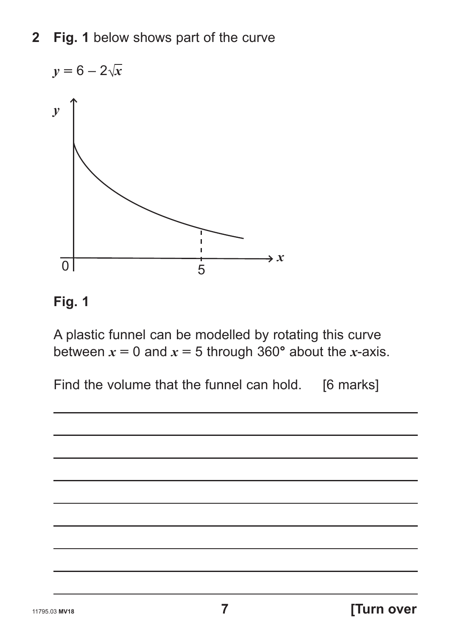**2 Fig. 1** below shows part of the curve



#### **Fig. 1**

 A plastic funnel can be modelled by rotating this curve between  $x = 0$  and  $x = 5$  through 360° about the *x*-axis.

Find the volume that the funnel can hold. [6 marks]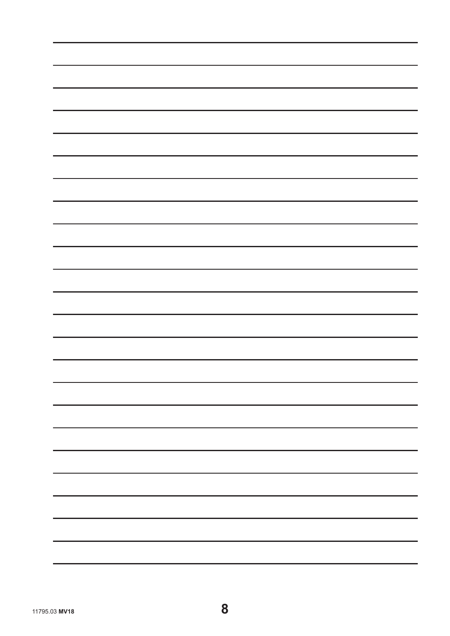|  | <u> 1989 - Andrea Barbara, Amerikaansk politiker (d. 1989)</u> |  |
|--|----------------------------------------------------------------|--|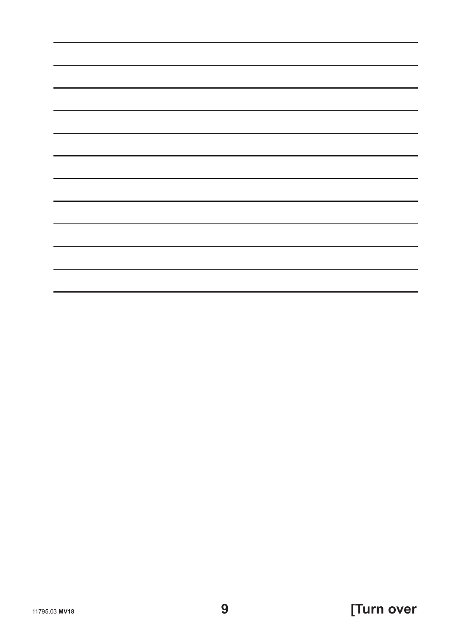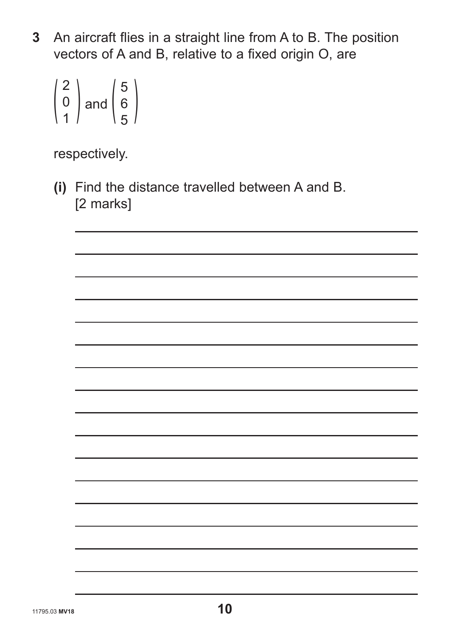**3** An aircraft flies in a straight line from A to B. The position vectors of A and B, relative to a fixed origin O, are

$$
\left(\begin{array}{c}2\\0\\1\end{array}\right)
$$
 and 
$$
\left(\begin{array}{c}5\\6\\5\end{array}\right)
$$

respectively.

**(i)** Find the distance travelled between A and B. [2 marks]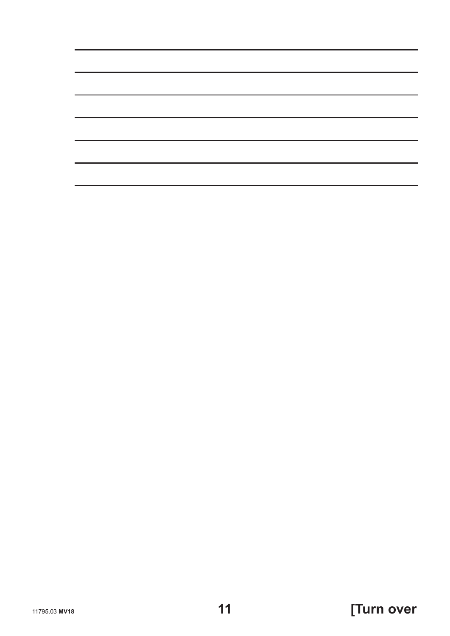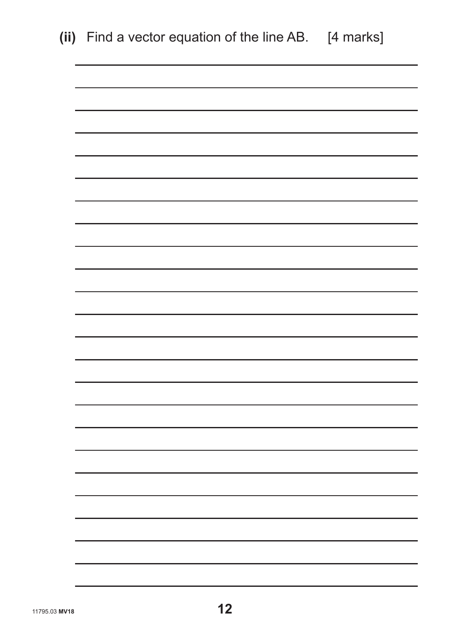| (ii) Find a vector equation of the line AB. [4 marks] |  |
|-------------------------------------------------------|--|
|                                                       |  |
|                                                       |  |
|                                                       |  |
|                                                       |  |
|                                                       |  |
|                                                       |  |
|                                                       |  |
|                                                       |  |
|                                                       |  |
|                                                       |  |
|                                                       |  |
|                                                       |  |
|                                                       |  |
|                                                       |  |
|                                                       |  |
|                                                       |  |
|                                                       |  |
|                                                       |  |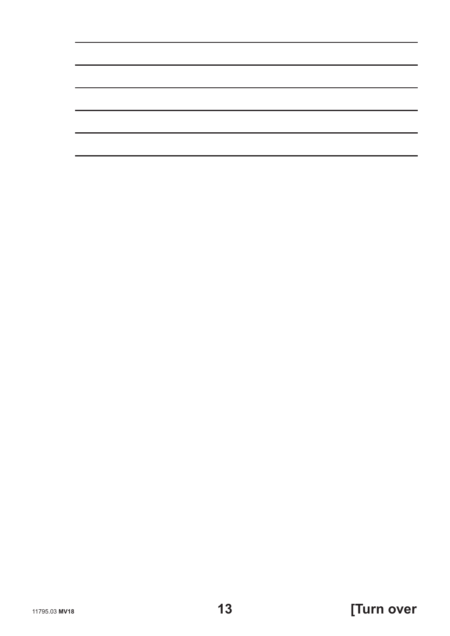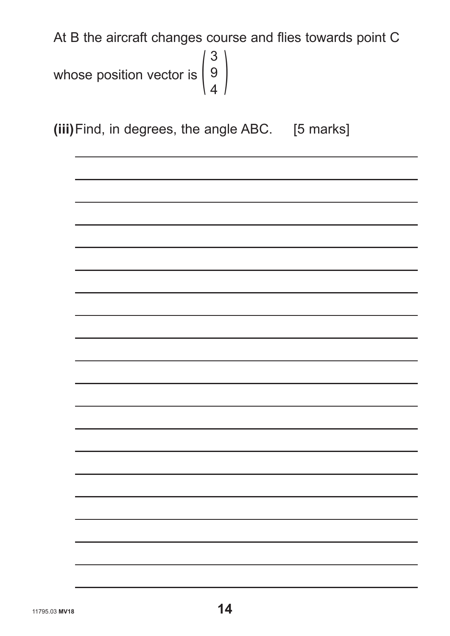At B the aircraft changes course and flies towards point C whose position vector is  $\begin{pmatrix} 3 \\ 9 \end{pmatrix}$ 9  $\begin{matrix} 9 \\ 4 \end{matrix}$ **(iii)** Find, in degrees, the angle ABC. [5 marks]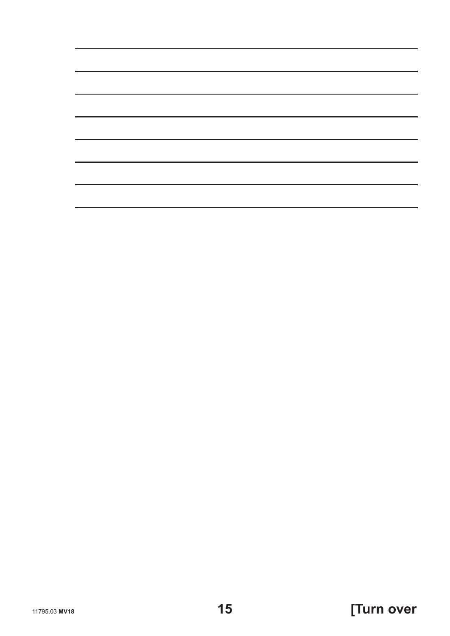

15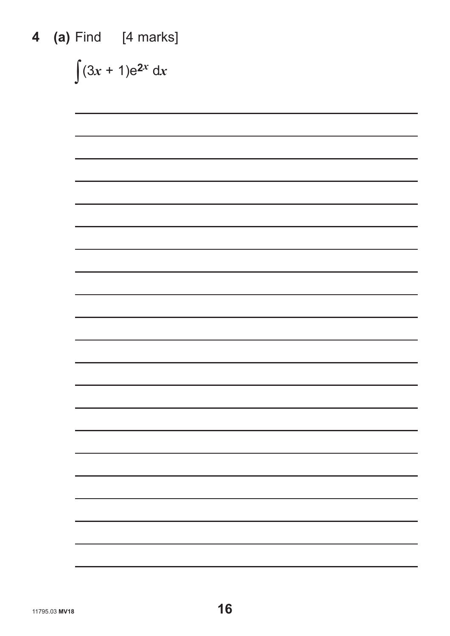4 (a) Find 
$$
[4 \text{ marks}]
$$
  
\n
$$
\int (3x + 1)e^{2x} dx
$$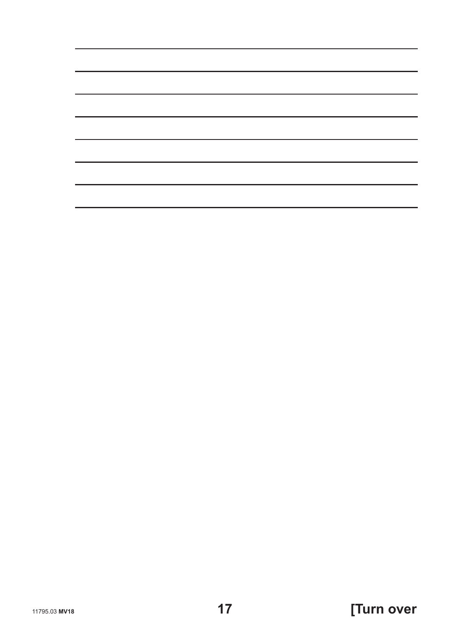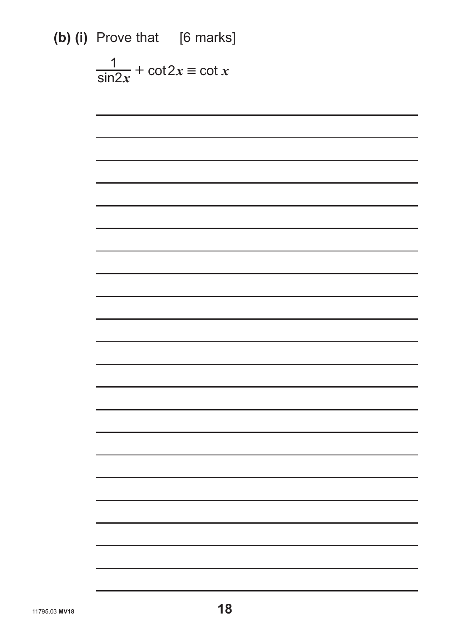(b) (i) Prove that [6 marks]

$$
\frac{1}{\sin 2x} + \cot 2x \equiv \cot x
$$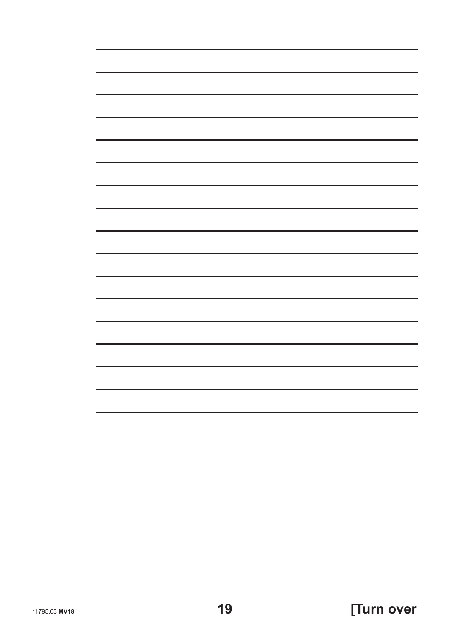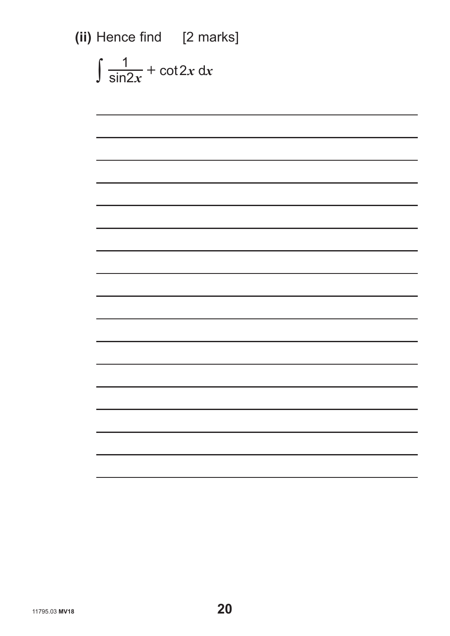```
(ii) Hence find [2 marks]
\int \frac{1}{\sin 2x} + \cot 2x \, dx
```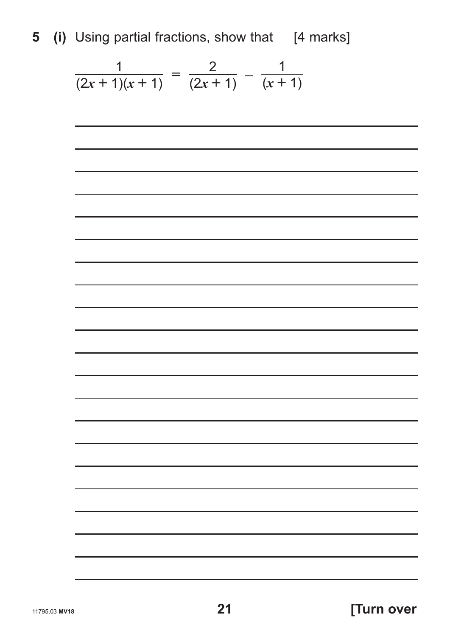# **5** (i) Using partial fractions, show that [4 marks]

$$
\frac{1}{(2x+1)(x+1)} = \frac{2}{(2x+1)} - \frac{1}{(x+1)}
$$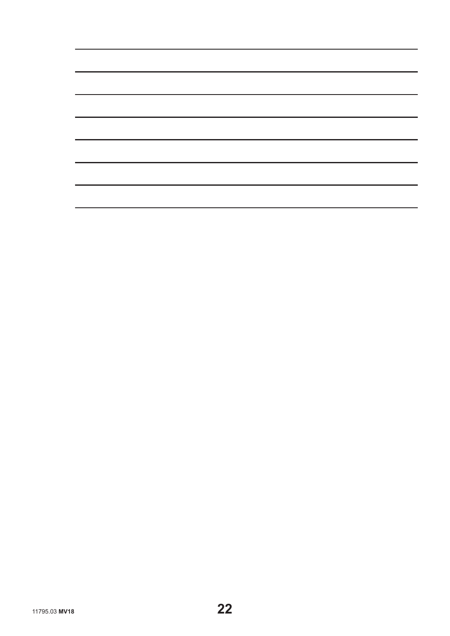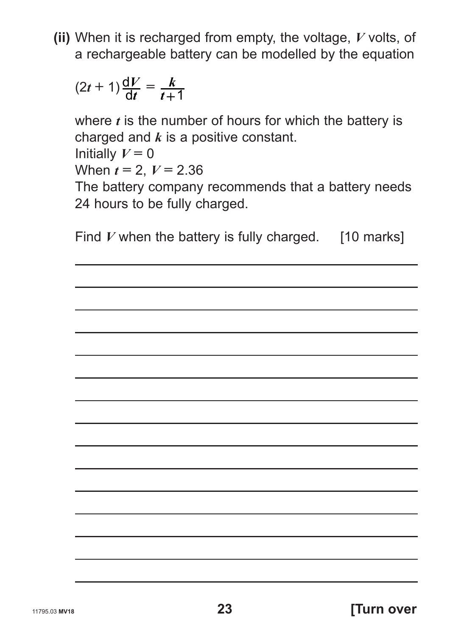**(ii)** When it is recharged from empty, the voltage, *V* volts, of a rechargeable battery can be modelled by the equation

$$
(2t+1)\frac{\mathrm{d}V}{\mathrm{d}t}=\frac{k}{t+1}
$$

where *t* is the number of hours for which the battery is charged and *k* is a positive constant.

Initially  $V = 0$ 

When  $t = 2$ ,  $V = 2.36$ 

 The battery company recommends that a battery needs 24 hours to be fully charged.

Find  $V$  when the battery is fully charged. [10 marks]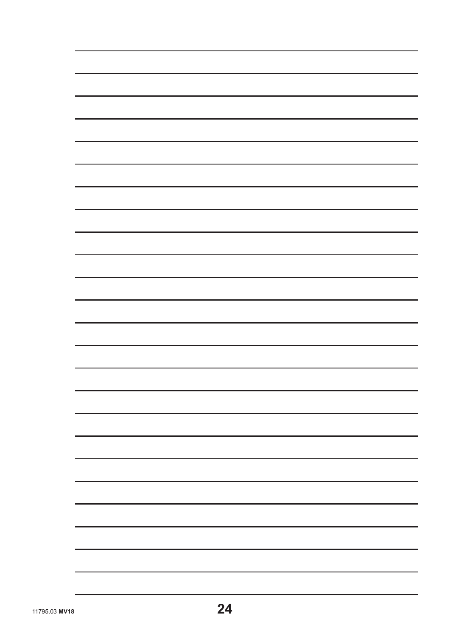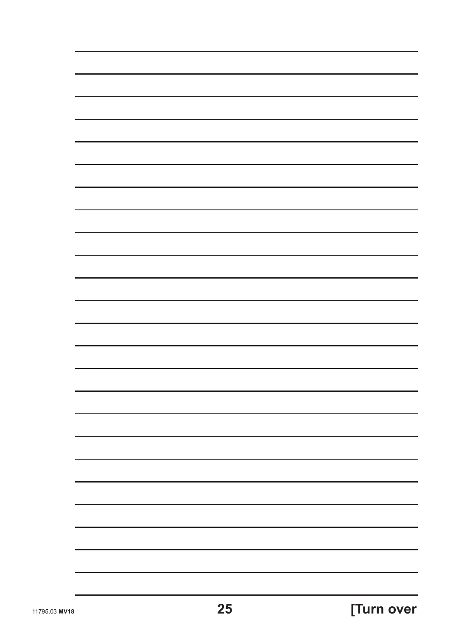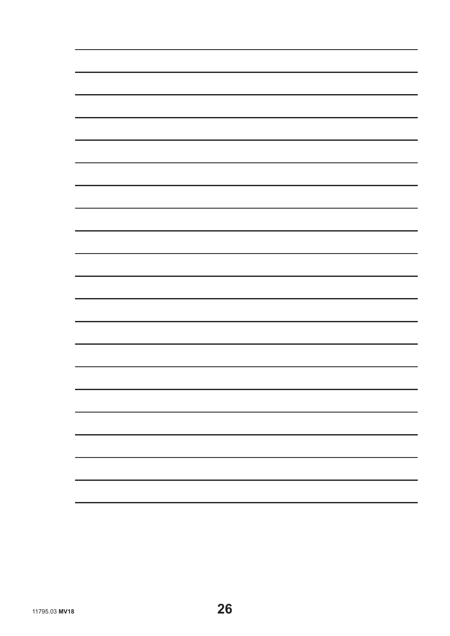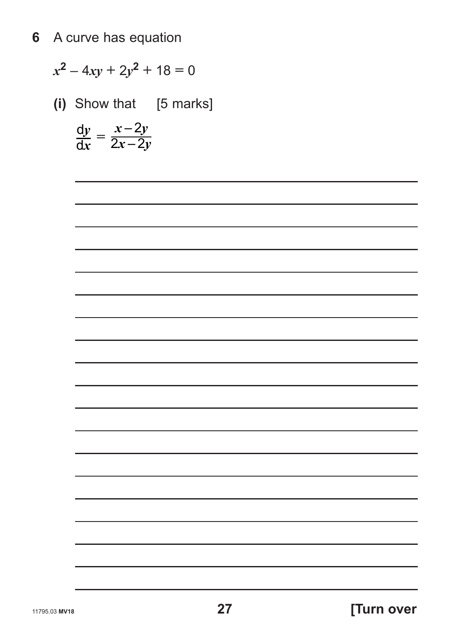$$
x^2 - 4xy + 2y^2 + 18 = 0
$$

(i) Show that [5 marks]

$$
\frac{\mathrm{d}y}{\mathrm{d}x} = \frac{x - 2y}{2x - 2y}
$$

11795.03 MV18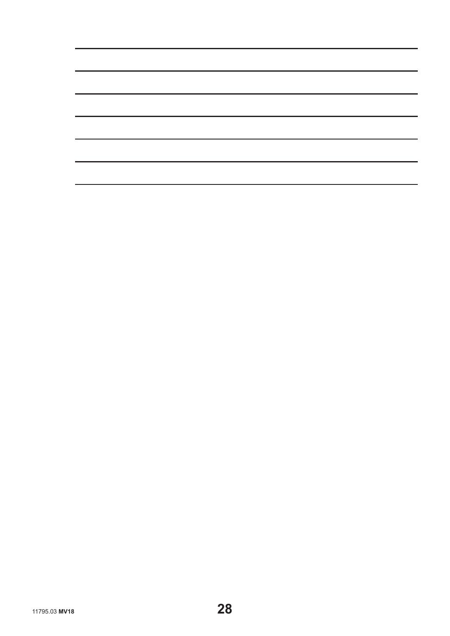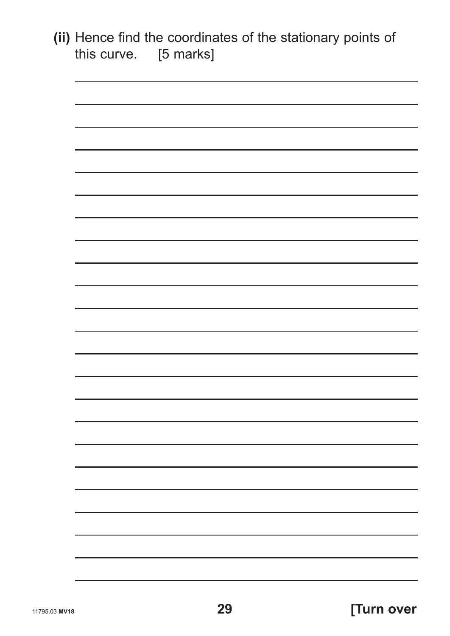| (ii) Hence find the coordinates of the stationary points of<br>this curve. [5 marks] |
|--------------------------------------------------------------------------------------|
|                                                                                      |
|                                                                                      |
|                                                                                      |
|                                                                                      |
|                                                                                      |
|                                                                                      |
|                                                                                      |
|                                                                                      |
|                                                                                      |
|                                                                                      |
|                                                                                      |
|                                                                                      |
|                                                                                      |
|                                                                                      |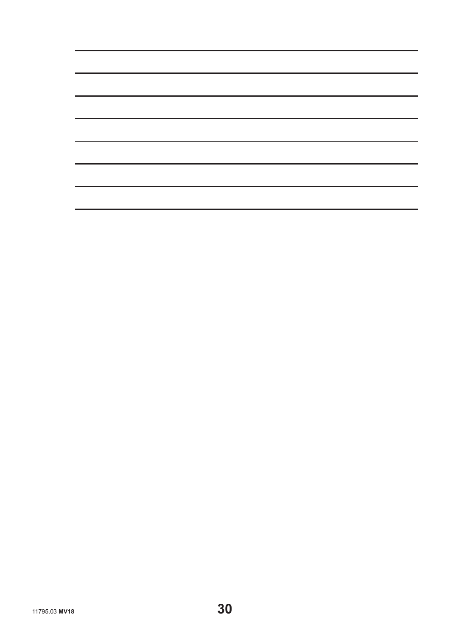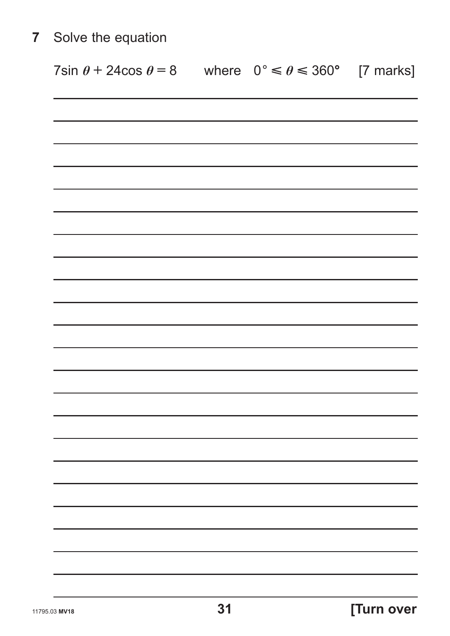#### Solve the equation  $\overline{7}$

| 7sin $\theta$ + 24cos $\theta$ = 8 where 0° $\leq \theta \leq 360$ ° [7 marks] |  |  |
|--------------------------------------------------------------------------------|--|--|
|                                                                                |  |  |
|                                                                                |  |  |
|                                                                                |  |  |
|                                                                                |  |  |
|                                                                                |  |  |
|                                                                                |  |  |
|                                                                                |  |  |
|                                                                                |  |  |
|                                                                                |  |  |
|                                                                                |  |  |
|                                                                                |  |  |
|                                                                                |  |  |
|                                                                                |  |  |
|                                                                                |  |  |
|                                                                                |  |  |
|                                                                                |  |  |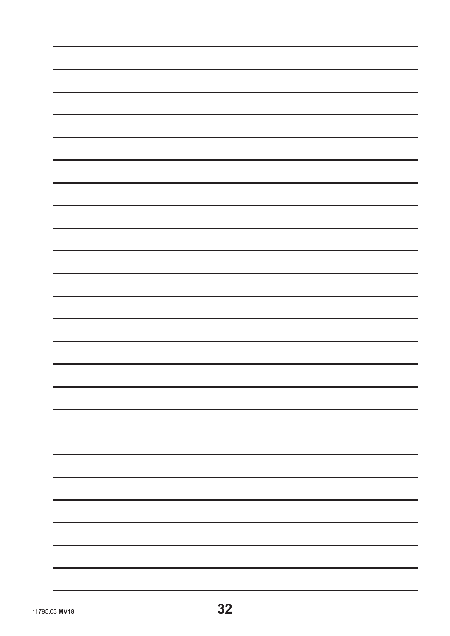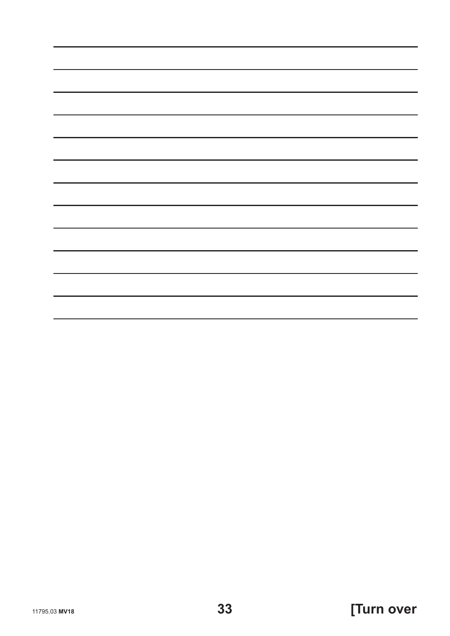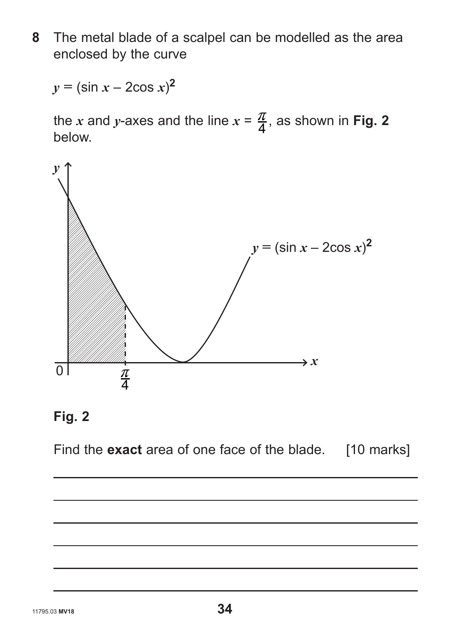**8** The metal blade of a scalpel can be modelled as the area enclosed by the curve

 $y = (\sin x - 2\cos x)^2$ 

the *x* and *y*-axes and the line  $x = \frac{\pi}{4}$ , as shown in **Fig. 2**<br>below. below.



#### **Fig. 2**

Find the **exact** area of one face of the blade. [10 marks]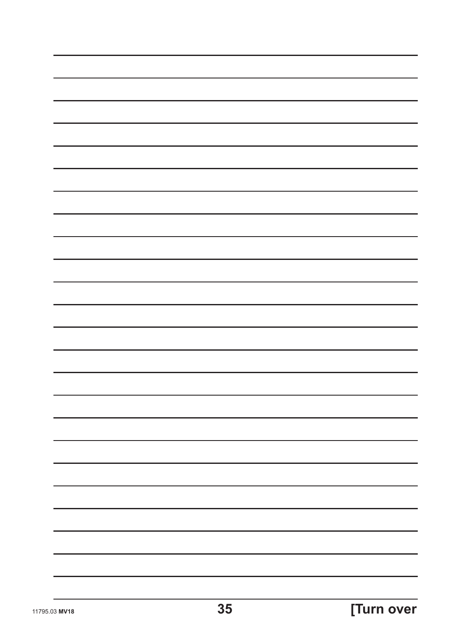| [Turn over |
|------------|
|            |
|            |
|            |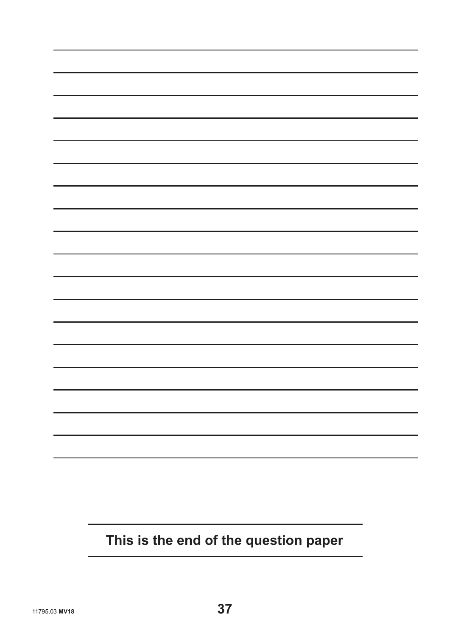# This is the end of the question paper